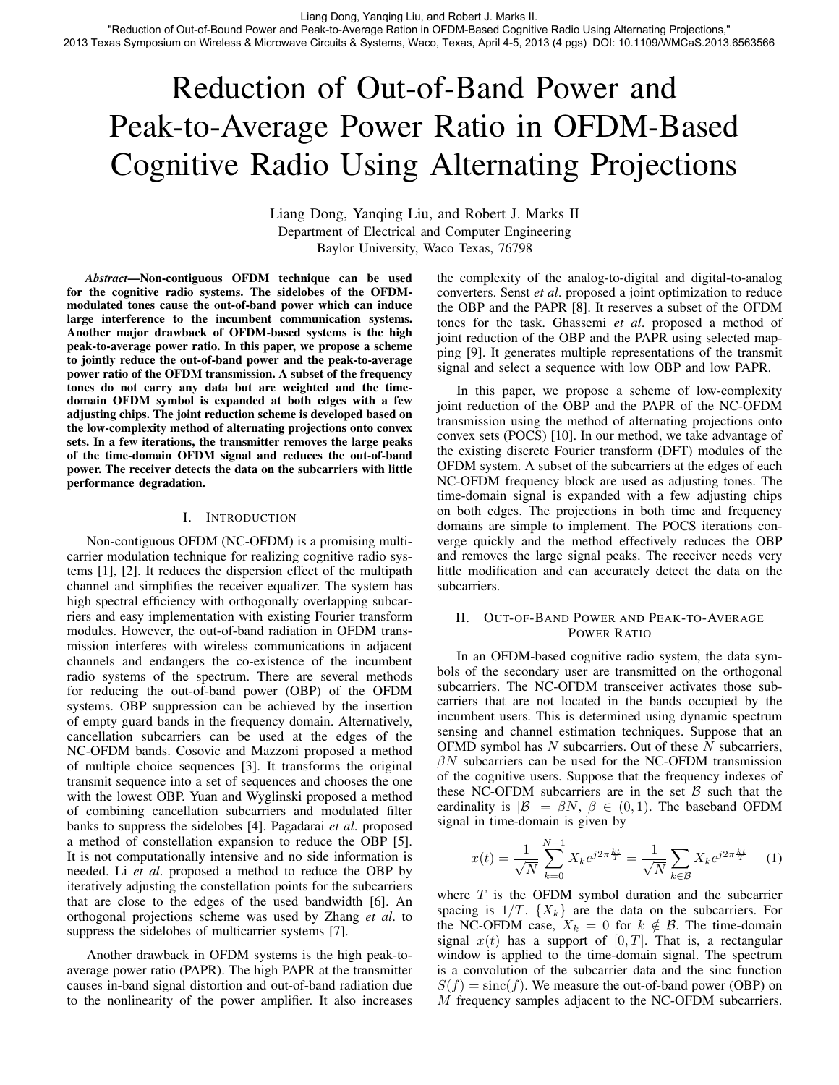"Reduction of Out-of-Bound Power and Peak-to-Average Ration in OFDM-Based Cognitive Radio Using Alternating Projections," 2013 Texas Symposium on Wireless & Microwave Circuits & Systems, Waco, Texas, April 4-5, 2013 (4 pgs) DOI: 10.1109/WMCaS.2013.6563566

# Reduction of Out-of-Band Power and Peak-to-Average Power Ratio in OFDM-Based Cognitive Radio Using Alternating Projections

Liang Dong, Yanqing Liu, and Robert J. Marks II Department of Electrical and Computer Engineering Baylor University, Waco Texas, 76798

*Abstract*—Non-contiguous OFDM technique can be used for the cognitive radio systems. The sidelobes of the OFDMmodulated tones cause the out-of-band power which can induce large interference to the incumbent communication systems. Another major drawback of OFDM-based systems is the high peak-to-average power ratio. In this paper, we propose a scheme to jointly reduce the out-of-band power and the peak-to-average power ratio of the OFDM transmission. A subset of the frequency tones do not carry any data but are weighted and the timedomain OFDM symbol is expanded at both edges with a few adjusting chips. The joint reduction scheme is developed based on the low-complexity method of alternating projections onto convex sets. In a few iterations, the transmitter removes the large peaks of the time-domain OFDM signal and reduces the out-of-band power. The receiver detects the data on the subcarriers with little performance degradation.

## I. INTRODUCTION

Non-contiguous OFDM (NC-OFDM) is a promising multicarrier modulation technique for realizing cognitive radio systems [1], [2]. It reduces the dispersion effect of the multipath channel and simplifies the receiver equalizer. The system has high spectral efficiency with orthogonally overlapping subcarriers and easy implementation with existing Fourier transform modules. However, the out-of-band radiation in OFDM transmission interferes with wireless communications in adjacent channels and endangers the co-existence of the incumbent radio systems of the spectrum. There are several methods for reducing the out-of-band power (OBP) of the OFDM systems. OBP suppression can be achieved by the insertion of empty guard bands in the frequency domain. Alternatively, cancellation subcarriers can be used at the edges of the NC-OFDM bands. Cosovic and Mazzoni proposed a method of multiple choice sequences [3]. It transforms the original transmit sequence into a set of sequences and chooses the one with the lowest OBP. Yuan and Wyglinski proposed a method of combining cancellation subcarriers and modulated filter banks to suppress the sidelobes [4]. Pagadarai *et al*. proposed a method of constellation expansion to reduce the OBP [5]. It is not computationally intensive and no side information is needed. Li *et al*. proposed a method to reduce the OBP by iteratively adjusting the constellation points for the subcarriers that are close to the edges of the used bandwidth [6]. An orthogonal projections scheme was used by Zhang *et al*. to suppress the sidelobes of multicarrier systems [7].

Another drawback in OFDM systems is the high peak-toaverage power ratio (PAPR). The high PAPR at the transmitter causes in-band signal distortion and out-of-band radiation due to the nonlinearity of the power amplifier. It also increases the complexity of the analog-to-digital and digital-to-analog converters. Senst *et al*. proposed a joint optimization to reduce the OBP and the PAPR [8]. It reserves a subset of the OFDM tones for the task. Ghassemi *et al*. proposed a method of joint reduction of the OBP and the PAPR using selected mapping [9]. It generates multiple representations of the transmit signal and select a sequence with low OBP and low PAPR.

In this paper, we propose a scheme of low-complexity joint reduction of the OBP and the PAPR of the NC-OFDM transmission using the method of alternating projections onto convex sets (POCS) [10]. In our method, we take advantage of the existing discrete Fourier transform (DFT) modules of the OFDM system. A subset of the subcarriers at the edges of each NC-OFDM frequency block are used as adjusting tones. The time-domain signal is expanded with a few adjusting chips on both edges. The projections in both time and frequency domains are simple to implement. The POCS iterations converge quickly and the method effectively reduces the OBP and removes the large signal peaks. The receiver needs very little modification and can accurately detect the data on the subcarriers.

# II. OUT-OF-BAND POWER AND PEAK-TO-AVERAGE POWER RATIO

In an OFDM-based cognitive radio system, the data symbols of the secondary user are transmitted on the orthogonal subcarriers. The NC-OFDM transceiver activates those subcarriers that are not located in the bands occupied by the incumbent users. This is determined using dynamic spectrum sensing and channel estimation techniques. Suppose that an OFMD symbol has  $N$  subcarriers. Out of these  $N$  subcarriers,  $\beta N$  subcarriers can be used for the NC-OFDM transmission of the cognitive users. Suppose that the frequency indexes of these NC-OFDM subcarriers are in the set  $\beta$  such that the cardinality is  $|\mathcal{B}| = \beta N$ ,  $\beta \in (0, 1)$ . The baseband OFDM signal in time-domain is given by

$$
x(t) = \frac{1}{\sqrt{N}} \sum_{k=0}^{N-1} X_k e^{j2\pi \frac{kt}{T}} = \frac{1}{\sqrt{N}} \sum_{k \in \mathcal{B}} X_k e^{j2\pi \frac{kt}{T}} \quad (1)
$$

where  $T$  is the OFDM symbol duration and the subcarrier spacing is  $1/T$ .  $\{X_k\}$  are the data on the subcarriers. For the NC-OFDM case,  $X_k = 0$  for  $k \notin \mathcal{B}$ . The time-domain signal  $x(t)$  has a support of  $[0, T]$ . That is, a rectangular window is applied to the time-domain signal. The spectrum is a convolution of the subcarrier data and the sinc function  $S(f) = \text{sinc}(f)$ . We measure the out-of-band power (OBP) on M frequency samples adjacent to the NC-OFDM subcarriers.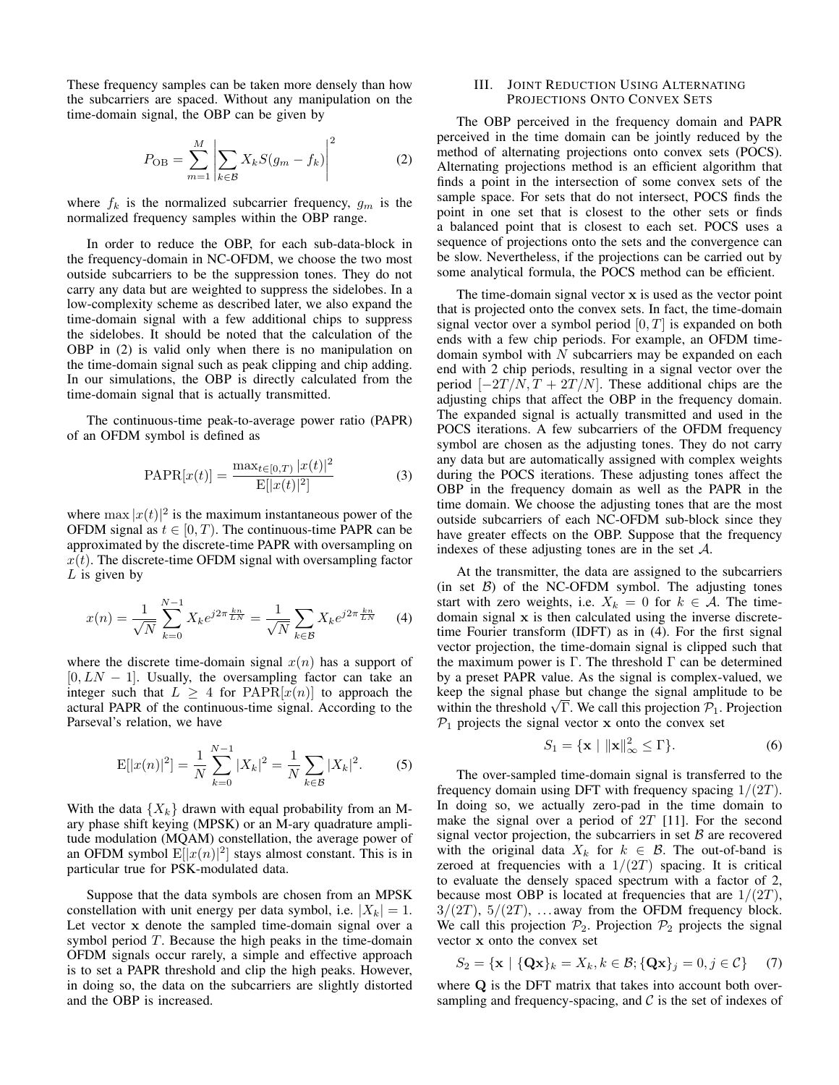These frequency samples can be taken more densely than how the subcarriers are spaced. Without any manipulation on the time-domain signal, the OBP can be given by

$$
P_{\rm OB} = \sum_{m=1}^{M} \left| \sum_{k \in \mathcal{B}} X_k S(g_m - f_k) \right|^2 \tag{2}
$$

where  $f_k$  is the normalized subcarrier frequency,  $g_m$  is the normalized frequency samples within the OBP range.

In order to reduce the OBP, for each sub-data-block in the frequency-domain in NC-OFDM, we choose the two most outside subcarriers to be the suppression tones. They do not carry any data but are weighted to suppress the sidelobes. In a low-complexity scheme as described later, we also expand the time-domain signal with a few additional chips to suppress the sidelobes. It should be noted that the calculation of the OBP in (2) is valid only when there is no manipulation on the time-domain signal such as peak clipping and chip adding. In our simulations, the OBP is directly calculated from the time-domain signal that is actually transmitted.

The continuous-time peak-to-average power ratio (PAPR) of an OFDM symbol is defined as

$$
PAPR[x(t)] = \frac{\max_{t \in [0,T)} |x(t)|^2}{E[|x(t)|^2]}
$$
(3)

where  $\max |x(t)|^2$  is the maximum instantaneous power of the OFDM signal as  $t \in [0, T)$ . The continuous-time PAPR can be approximated by the discrete-time PAPR with oversampling on  $x(t)$ . The discrete-time OFDM signal with oversampling factor  $L$  is given by

$$
x(n) = \frac{1}{\sqrt{N}} \sum_{k=0}^{N-1} X_k e^{j2\pi \frac{kn}{LN}} = \frac{1}{\sqrt{N}} \sum_{k \in \mathcal{B}} X_k e^{j2\pi \frac{kn}{LN}} \tag{4}
$$

where the discrete time-domain signal  $x(n)$  has a support of  $[0, LN - 1]$ . Usually, the oversampling factor can take an integer such that  $L \geq 4$  for PAPR[ $x(n)$ ] to approach the actural PAPR of the continuous-time signal. According to the Parseval's relation, we have

$$
E[|x(n)|^2] = \frac{1}{N} \sum_{k=0}^{N-1} |X_k|^2 = \frac{1}{N} \sum_{k \in \mathcal{B}} |X_k|^2.
$$
 (5)

With the data  $\{X_k\}$  drawn with equal probability from an Mary phase shift keying (MPSK) or an M-ary quadrature amplitude modulation (MQAM) constellation, the average power of an OFDM symbol  $E[|x(n)|^2]$  stays almost constant. This is in particular true for PSK-modulated data.

Suppose that the data symbols are chosen from an MPSK constellation with unit energy per data symbol, i.e.  $|X_k| = 1$ . Let vector x denote the sampled time-domain signal over a symbol period  $T$ . Because the high peaks in the time-domain OFDM signals occur rarely, a simple and effective approach is to set a PAPR threshold and clip the high peaks. However, in doing so, the data on the subcarriers are slightly distorted and the OBP is increased.

# III. JOINT REDUCTION USING ALTERNATING PROJECTIONS ONTO CONVEX SETS

The OBP perceived in the frequency domain and PAPR perceived in the time domain can be jointly reduced by the method of alternating projections onto convex sets (POCS). Alternating projections method is an efficient algorithm that finds a point in the intersection of some convex sets of the sample space. For sets that do not intersect, POCS finds the point in one set that is closest to the other sets or finds a balanced point that is closest to each set. POCS uses a sequence of projections onto the sets and the convergence can be slow. Nevertheless, if the projections can be carried out by some analytical formula, the POCS method can be efficient.

The time-domain signal vector  $x$  is used as the vector point that is projected onto the convex sets. In fact, the time-domain signal vector over a symbol period  $[0, T]$  is expanded on both ends with a few chip periods. For example, an OFDM timedomain symbol with  $N$  subcarriers may be expanded on each end with 2 chip periods, resulting in a signal vector over the period  $[-2T/N, T + 2T/N]$ . These additional chips are the adjusting chips that affect the OBP in the frequency domain. The expanded signal is actually transmitted and used in the POCS iterations. A few subcarriers of the OFDM frequency symbol are chosen as the adjusting tones. They do not carry any data but are automatically assigned with complex weights during the POCS iterations. These adjusting tones affect the OBP in the frequency domain as well as the PAPR in the time domain. We choose the adjusting tones that are the most outside subcarriers of each NC-OFDM sub-block since they have greater effects on the OBP. Suppose that the frequency indexes of these adjusting tones are in the set A.

At the transmitter, the data are assigned to the subcarriers (in set  $\beta$ ) of the NC-OFDM symbol. The adjusting tones start with zero weights, i.e.  $X_k = 0$  for  $k \in A$ . The timedomain signal x is then calculated using the inverse discretetime Fourier transform (IDFT) as in (4). For the first signal vector projection, the time-domain signal is clipped such that the maximum power is  $\Gamma$ . The threshold  $\Gamma$  can be determined by a preset PAPR value. As the signal is complex-valued, we keep the signal phase but change the signal amplitude to be keep the signal phase but change the signal amplitude to be within the threshold  $\sqrt{\Gamma}$ . We call this projection  $\mathcal{P}_1$ . Projection  $P_1$  projects the signal vector x onto the convex set

$$
S_1 = \{ \mathbf{x} \mid ||\mathbf{x}||_{\infty}^2 \le \Gamma \}. \tag{6}
$$

The over-sampled time-domain signal is transferred to the frequency domain using DFT with frequency spacing  $1/(2T)$ . In doing so, we actually zero-pad in the time domain to make the signal over a period of  $2T$  [11]. For the second signal vector projection, the subcarriers in set  $B$  are recovered with the original data  $X_k$  for  $k \in \mathcal{B}$ . The out-of-band is zeroed at frequencies with a  $1/(2T)$  spacing. It is critical to evaluate the densely spaced spectrum with a factor of 2, because most OBP is located at frequencies that are  $1/(2T)$ ,  $3/(2T)$ ,  $5/(2T)$ , ... away from the OFDM frequency block. We call this projection  $P_2$ . Projection  $P_2$  projects the signal vector x onto the convex set

$$
S_2 = \{ \mathbf{x} \mid \{ \mathbf{Q} \mathbf{x} \}_k = X_k, k \in \mathcal{B}; \{ \mathbf{Q} \mathbf{x} \}_j = 0, j \in \mathcal{C} \} \tag{7}
$$

where Q is the DFT matrix that takes into account both oversampling and frequency-spacing, and  $\mathcal C$  is the set of indexes of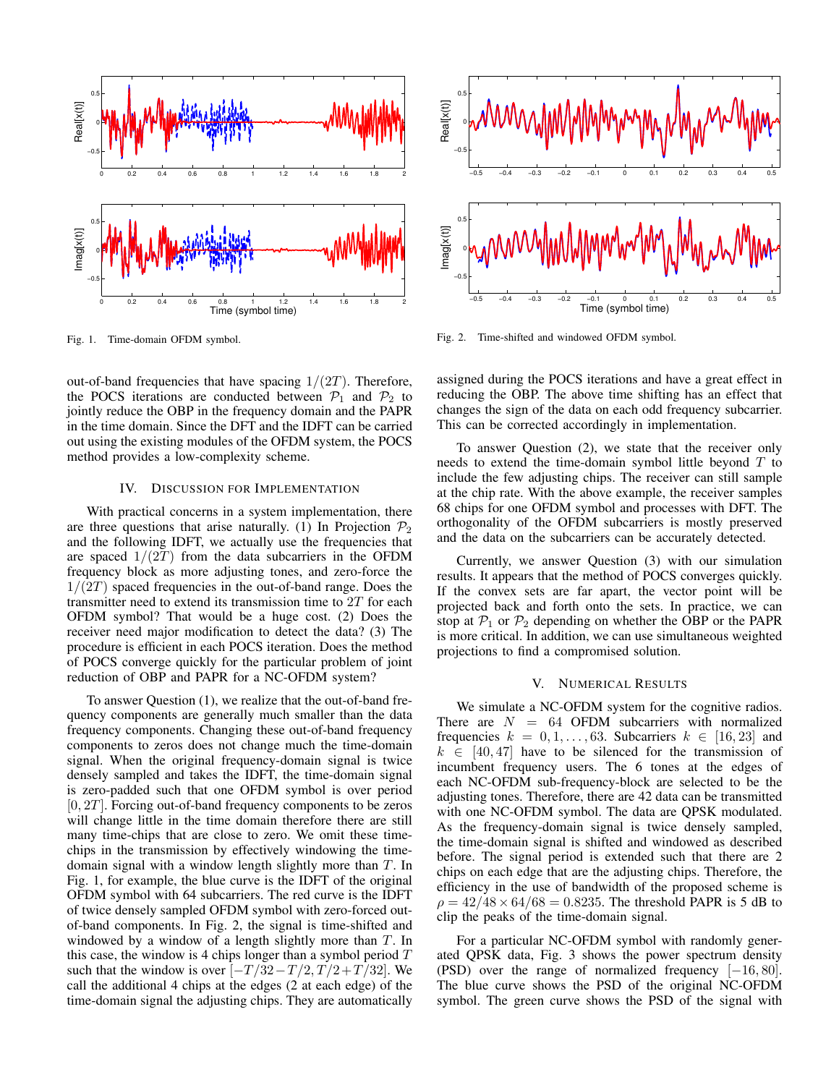

Fig. 1. Time-domain OFDM symbol.

out-of-band frequencies that have spacing  $1/(2T)$ . Therefore, the POCS iterations are conducted between  $\mathcal{P}_1$  and  $\mathcal{P}_2$  to jointly reduce the OBP in the frequency domain and the PAPR in the time domain. Since the DFT and the IDFT can be carried out using the existing modules of the OFDM system, the POCS method provides a low-complexity scheme.

## IV. DISCUSSION FOR IMPLEMENTATION

With practical concerns in a system implementation, there are three questions that arise naturally. (1) In Projection  $\mathcal{P}_2$ and the following IDFT, we actually use the frequencies that are spaced  $1/(2T)$  from the data subcarriers in the OFDM frequency block as more adjusting tones, and zero-force the  $1/(2T)$  spaced frequencies in the out-of-band range. Does the transmitter need to extend its transmission time to  $2T$  for each OFDM symbol? That would be a huge cost. (2) Does the receiver need major modification to detect the data? (3) The procedure is efficient in each POCS iteration. Does the method of POCS converge quickly for the particular problem of joint reduction of OBP and PAPR for a NC-OFDM system?

To answer Question (1), we realize that the out-of-band frequency components are generally much smaller than the data frequency components. Changing these out-of-band frequency components to zeros does not change much the time-domain signal. When the original frequency-domain signal is twice densely sampled and takes the IDFT, the time-domain signal is zero-padded such that one OFDM symbol is over period  $[0, 2T]$ . Forcing out-of-band frequency components to be zeros will change little in the time domain therefore there are still many time-chips that are close to zero. We omit these timechips in the transmission by effectively windowing the timedomain signal with a window length slightly more than T. In Fig. 1, for example, the blue curve is the IDFT of the original OFDM symbol with 64 subcarriers. The red curve is the IDFT of twice densely sampled OFDM symbol with zero-forced outof-band components. In Fig. 2, the signal is time-shifted and windowed by a window of a length slightly more than  $T$ . In this case, the window is 4 chips longer than a symbol period  $T$ such that the window is over  $[-T/32-T/2, T/2+T/32]$ . We call the additional 4 chips at the edges (2 at each edge) of the time-domain signal the adjusting chips. They are automatically



Fig. 2. Time-shifted and windowed OFDM symbol.

assigned during the POCS iterations and have a great effect in reducing the OBP. The above time shifting has an effect that changes the sign of the data on each odd frequency subcarrier. This can be corrected accordingly in implementation.

To answer Question (2), we state that the receiver only needs to extend the time-domain symbol little beyond T to include the few adjusting chips. The receiver can still sample at the chip rate. With the above example, the receiver samples 68 chips for one OFDM symbol and processes with DFT. The orthogonality of the OFDM subcarriers is mostly preserved and the data on the subcarriers can be accurately detected.

Currently, we answer Question (3) with our simulation results. It appears that the method of POCS converges quickly. If the convex sets are far apart, the vector point will be projected back and forth onto the sets. In practice, we can stop at  $P_1$  or  $P_2$  depending on whether the OBP or the PAPR is more critical. In addition, we can use simultaneous weighted projections to find a compromised solution.

### V. NUMERICAL RESULTS

We simulate a NC-OFDM system for the cognitive radios. There are  $N = 64$  OFDM subcarriers with normalized frequencies  $k = 0, 1, \ldots, 63$ . Subcarriers  $k \in [16, 23]$  and  $k \in [40, 47]$  have to be silenced for the transmission of incumbent frequency users. The 6 tones at the edges of each NC-OFDM sub-frequency-block are selected to be the adjusting tones. Therefore, there are 42 data can be transmitted with one NC-OFDM symbol. The data are QPSK modulated. As the frequency-domain signal is twice densely sampled, the time-domain signal is shifted and windowed as described before. The signal period is extended such that there are 2 chips on each edge that are the adjusting chips. Therefore, the efficiency in the use of bandwidth of the proposed scheme is  $\rho = 42/48 \times 64/68 = 0.8235$ . The threshold PAPR is 5 dB to clip the peaks of the time-domain signal.

For a particular NC-OFDM symbol with randomly generated QPSK data, Fig. 3 shows the power spectrum density (PSD) over the range of normalized frequency [−16, 80]. The blue curve shows the PSD of the original NC-OFDM symbol. The green curve shows the PSD of the signal with